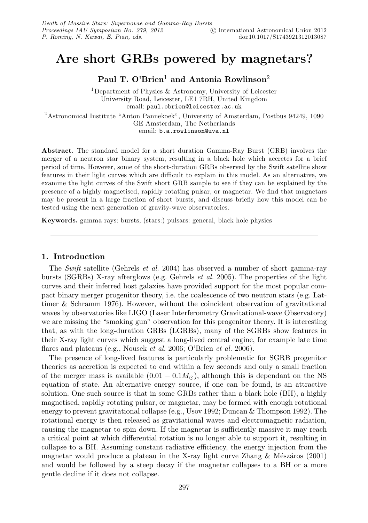# **Are short GRBs powered by magnetars?**

Paul T. O'Brien<sup>1</sup> and Antonia Rowlinson<sup>2</sup>

<sup>1</sup>Department of Physics & Astronomy, University of Leicester University Road, Leicester, LE1 7RH, United Kingdom email: paul.obrien@leicester.ac.uk

2Astronomical Institute "Anton Pannekoek", University of Amsterdam, Postbus 94249, 1090 GE Amsterdam, The Netherlands email: b.a.rowlinson@uva.nl

**Abstract.** The standard model for a short duration Gamma-Ray Burst (GRB) involves the merger of a neutron star binary system, resulting in a black hole which accretes for a brief period of time. However, some of the short-duration GRBs observed by the Swift satellite show features in their light curves which are difficult to explain in this model. As an alternative, we examine the light curves of the Swift short GRB sample to see if they can be explained by the presence of a highly magnetised, rapidly rotating pulsar, or magnetar. We find that magnetars may be present in a large fraction of short bursts, and discuss briefly how this model can be tested using the next generation of gravity-wave observatories.

**Keywords.** gamma rays: bursts, (stars:) pulsars: general, black hole physics

# **1. Introduction**

The Swift satellite (Gehrels et al. 2004) has observed a number of short gamma-ray bursts (SGRBs) X-ray afterglows (e.g. Gehrels et al. 2005). The properties of the light curves and their inferred host galaxies have provided support for the most popular compact binary merger progenitor theory, i.e. the coalescence of two neutron stars (e.g. Lattimer & Schramm 1976). However, without the coincident observation of gravitational waves by observatories like LIGO (Laser Interferometry Gravitational-wave Observatory) we are missing the "smoking gun" observation for this progenitor theory. It is interesting that, as with the long-duration GRBs (LGRBs), many of the SGRBs show features in their X-ray light curves which suggest a long-lived central engine, for example late time flares and plateaus (e.g., Nousek et al. 2006; O'Brien et al. 2006).

The presence of long-lived features is particularly problematic for SGRB progenitor theories as accretion is expected to end within a few seconds and only a small fraction of the merger mass is available  $(0.01 - 0.1 M_{\odot})$ , although this is dependant on the NS equation of state. An alternative energy source, if one can be found, is an attractive solution. One such source is that in some GRBs rather than a black hole (BH), a highly magnetised, rapidly rotating pulsar, or magnetar, may be formed with enough rotational energy to prevent gravitational collapse (e.g., Usov 1992; Duncan & Thompson 1992). The rotational energy is then released as gravitational waves and electromagnetic radiation, causing the magnetar to spin down. If the magnetar is sufficiently massive it may reach a critical point at which differential rotation is no longer able to support it, resulting in collapse to a BH. Assuming constant radiative efficiency, the energy injection from the magnetar would produce a plateau in the X-ray light curve Zhang  $\&$  Mészáros (2001) and would be followed by a steep decay if the magnetar collapses to a BH or a more gentle decline if it does not collapse.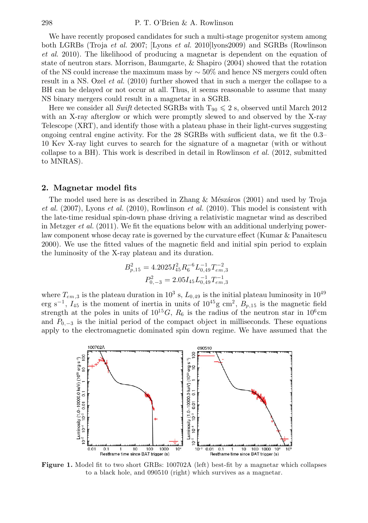We have recently proposed candidates for such a multi-stage progenitor system among both LGRBs (Troja et al. 2007; [Lyons et al. 2010]lyons2009) and SGRBs (Rowlinson et al. 2010). The likelihood of producing a magnetar is dependent on the equation of state of neutron stars. Morrison, Baumgarte, & Shapiro (2004) showed that the rotation of the NS could increase the maximum mass by  $\sim$  50% and hence NS mergers could often result in a NS. Ozel et al. (2010) further showed that in such a merger the collapse to a BH can be delayed or not occur at all. Thus, it seems reasonable to assume that many NS binary mergers could result in a magnetar in a SGRB.

Here we consider all *Swift* detected SGRBs with  $T_{90} \leqslant 2$  s, observed until March 2012 with an X-ray afterglow or which were promptly slewed to and observed by the X-ray Telescope (XRT), and identify those with a plateau phase in their light-curves suggesting ongoing central engine activity. For the 28 SGRBs with sufficient data, we fit the 0.3– 10 Kev X-ray light curves to search for the signature of a magnetar (with or without collapse to a BH). This work is described in detail in Rowlinson  $et al.$  (2012, submitted to MNRAS).

#### **2. Magnetar model fits**

The model used here is as described in Zhang  $\&$  Mészáros (2001) and used by Troja et al.  $(2007)$ , Lyons et al.  $(2010)$ , Rowlinson et al.  $(2010)$ . This model is consistent with the late-time residual spin-down phase driving a relativistic magnetar wind as described in Metzger *et al.* (2011). We fit the equations below with an additional underlying powerlaw component whose decay rate is governed by the curvature effect (Kumar & Panaitescu 2000). We use the fitted values of the magnetic field and initial spin period to explain the luminosity of the X-ray plateau and its duration.

$$
B_{p,15}^2 = 4.2025 I_{45}^2 R_6^{-6} L_{0,49}^{-1} T_{em,3}^{-2}
$$
  

$$
P_{0,-3}^2 = 2.05 I_{45} L_{0,49}^{-1} T_{em,3}^{-1}
$$

where  $T_{em,3}$  is the plateau duration in  $10^3$  s,  $L_{0.49}$  is the initial plateau luminosity in  $10^{49}$ erg s<sup>-1</sup>,  $I_{45}$  is the moment of inertia in units of 10<sup>45</sup>g cm<sup>2</sup>,  $B_{p,15}$  is the magnetic field strength at the poles in units of  $10^{15}G$ ,  $R_6$  is the radius of the neutron star in  $10^6$ cm and  $P_{0,-3}$  is the initial period of the compact object in milliseconds. These equations apply to the electromagnetic dominated spin down regime. We have assumed that the



**Figure 1.** Model fit to two short GRBs: 100702A (left) best-fit by a magnetar which collapses to a black hole, and 090510 (right) which survives as a magnetar.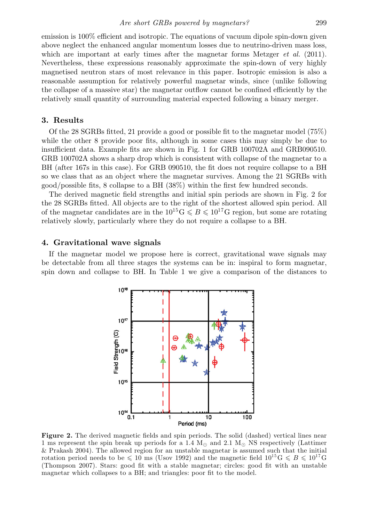emission is 100% efficient and isotropic. The equations of vacuum dipole spin-down given above neglect the enhanced angular momentum losses due to neutrino-driven mass loss, which are important at early times after the magnetar forms Metzger *et al.* (2011). Nevertheless, these expressions reasonably approximate the spin-down of very highly magnetised neutron stars of most relevance in this paper. Isotropic emission is also a reasonable assumption for relatively powerful magnetar winds, since (unlike following the collapse of a massive star) the magnetar outflow cannot be confined efficiently by the relatively small quantity of surrounding material expected following a binary merger.

#### **3. Results**

Of the 28 SGRBs fitted, 21 provide a good or possible fit to the magnetar model (75%) while the other 8 provide poor fits, although in some cases this may simply be due to insufficient data. Example fits are shown in Fig. 1 for GRB 100702A and GRB090510. GRB 100702A shows a sharp drop which is consistent with collapse of the magnetar to a BH (after 167s in this case). For GRB 090510, the fit does not require collapse to a BH so we class that as an object where the magnetar survives. Among the 21 SGRBs with good/possible fits, 8 collapse to a BH (38%) within the first few hundred seconds.

The derived magnetic field strengths and initial spin periods are shown in Fig. 2 for the 28 SGRBs fitted. All objects are to the right of the shortest allowed spin period. All of the magnetar candidates are in the  $10^{15}$ G  $\leqslant B \leqslant 10^{17}$ G region, but some are rotating relatively slowly, particularly where they do not require a collapse to a BH.

## **4. Gravitational wave signals**

If the magnetar model we propose here is correct, gravitational wave signals may be detectable from all three stages the systems can be in: inspiral to form magnetar, spin down and collapse to BH. In Table 1 we give a comparison of the distances to



**Figure 2.** The derived magnetic fields and spin periods. The solid (dashed) vertical lines near 1 ms represent the spin break up periods for a 1.4  $M_{\odot}$  and 2.1  $M_{\odot}$  NS respectively (Lattimer & Prakash 2004). The allowed region for an unstable magnetar is assumed such that the initial rotation period needs to be  $\leq 10$  ms (Usov 1992) and the magnetic field  $10^{15}$ G  $\leq B \leq 10^{17}$ G (Thompson 2007). Stars: good fit with a stable magnetar; circles: good fit with an unstable magnetar which collapses to a BH; and triangles: poor fit to the model.